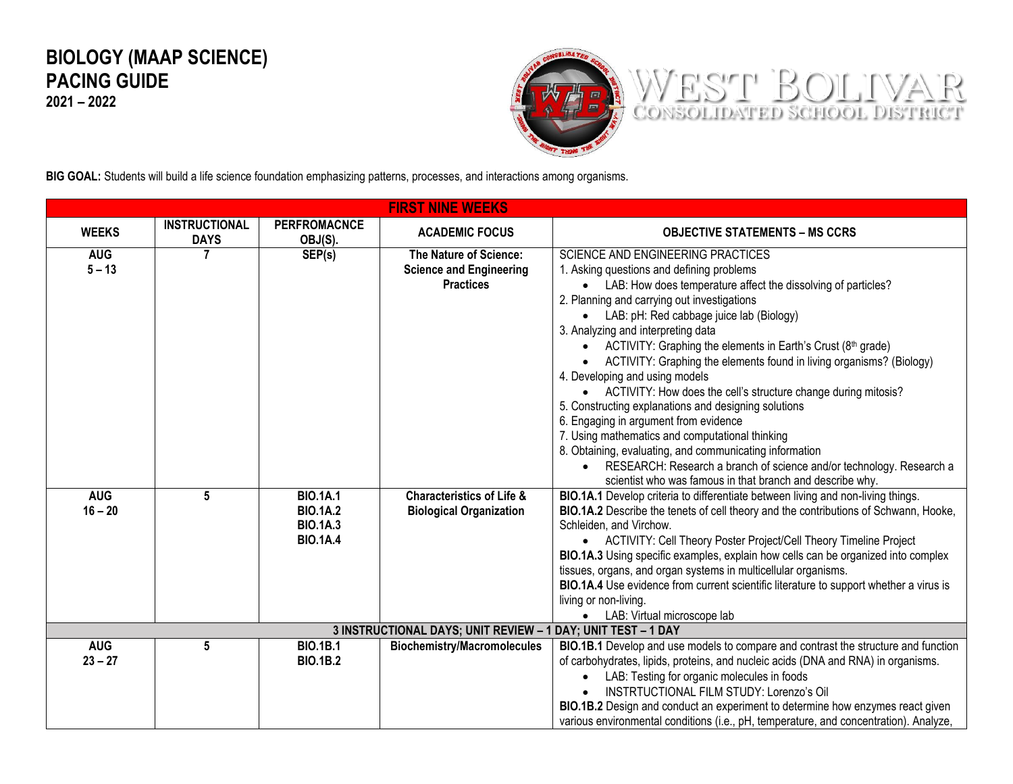## **BIOLOGY (MAAP SCIENCE) PACING GUIDE**

**2021 – 2022**



**BIG GOAL:** Students will build a life science foundation emphasizing patterns, processes, and interactions among organisms.

| <b>FIRST NINE WEEKS</b> |                                     |                                                                          |                                                                              |                                                                                                                                                                                                                                                                                                                                                                                                                                                                                                                                                                                                                                                         |  |  |
|-------------------------|-------------------------------------|--------------------------------------------------------------------------|------------------------------------------------------------------------------|---------------------------------------------------------------------------------------------------------------------------------------------------------------------------------------------------------------------------------------------------------------------------------------------------------------------------------------------------------------------------------------------------------------------------------------------------------------------------------------------------------------------------------------------------------------------------------------------------------------------------------------------------------|--|--|
| <b>WEEKS</b>            | <b>INSTRUCTIONAL</b><br><b>DAYS</b> | <b>PERFROMACNCE</b><br>OBJ(S).                                           | <b>ACADEMIC FOCUS</b>                                                        | <b>OBJECTIVE STATEMENTS – MS CCRS</b>                                                                                                                                                                                                                                                                                                                                                                                                                                                                                                                                                                                                                   |  |  |
| <b>AUG</b><br>$5 - 13$  |                                     | SEP(s)                                                                   | The Nature of Science:<br><b>Science and Engineering</b><br><b>Practices</b> | <b>SCIENCE AND ENGINEERING PRACTICES</b><br>1. Asking questions and defining problems<br>• LAB: How does temperature affect the dissolving of particles?<br>2. Planning and carrying out investigations<br>LAB: pH: Red cabbage juice lab (Biology)<br>$\bullet$<br>3. Analyzing and interpreting data<br>• ACTIVITY: Graphing the elements in Earth's Crust (8th grade)<br>ACTIVITY: Graphing the elements found in living organisms? (Biology)<br>4. Developing and using models<br>• ACTIVITY: How does the cell's structure change during mitosis?<br>5. Constructing explanations and designing solutions<br>6. Engaging in argument from evidence |  |  |
|                         |                                     |                                                                          |                                                                              | 7. Using mathematics and computational thinking<br>8. Obtaining, evaluating, and communicating information<br>• RESEARCH: Research a branch of science and/or technology. Research a<br>scientist who was famous in that branch and describe why.                                                                                                                                                                                                                                                                                                                                                                                                       |  |  |
| <b>AUG</b><br>$16 - 20$ | 5                                   | <b>BIO.1A.1</b><br><b>BIO.1A.2</b><br><b>BIO.1A.3</b><br><b>BIO.1A.4</b> | <b>Characteristics of Life &amp;</b><br><b>Biological Organization</b>       | BIO.1A.1 Develop criteria to differentiate between living and non-living things.<br>BIO.1A.2 Describe the tenets of cell theory and the contributions of Schwann, Hooke,<br>Schleiden, and Virchow.<br>• ACTIVITY: Cell Theory Poster Project/Cell Theory Timeline Project<br>BIO.1A.3 Using specific examples, explain how cells can be organized into complex<br>tissues, organs, and organ systems in multicellular organisms.<br>BIO.1A.4 Use evidence from current scientific literature to support whether a virus is<br>living or non-living.<br>• LAB: Virtual microscope lab                                                                   |  |  |
|                         |                                     |                                                                          | 3 INSTRUCTIONAL DAYS; UNIT REVIEW - 1 DAY; UNIT TEST - 1 DAY                 |                                                                                                                                                                                                                                                                                                                                                                                                                                                                                                                                                                                                                                                         |  |  |
| <b>AUG</b><br>$23 - 27$ | 5                                   | <b>BIO.1B.1</b><br><b>BIO.1B.2</b>                                       | <b>Biochemistry/Macromolecules</b>                                           | BIO.1B.1 Develop and use models to compare and contrast the structure and function<br>of carbohydrates, lipids, proteins, and nucleic acids (DNA and RNA) in organisms.<br>LAB: Testing for organic molecules in foods<br><b>INSTRTUCTIONAL FILM STUDY: Lorenzo's Oil</b><br>BIO.1B.2 Design and conduct an experiment to determine how enzymes react given<br>various environmental conditions (i.e., pH, temperature, and concentration). Analyze,                                                                                                                                                                                                    |  |  |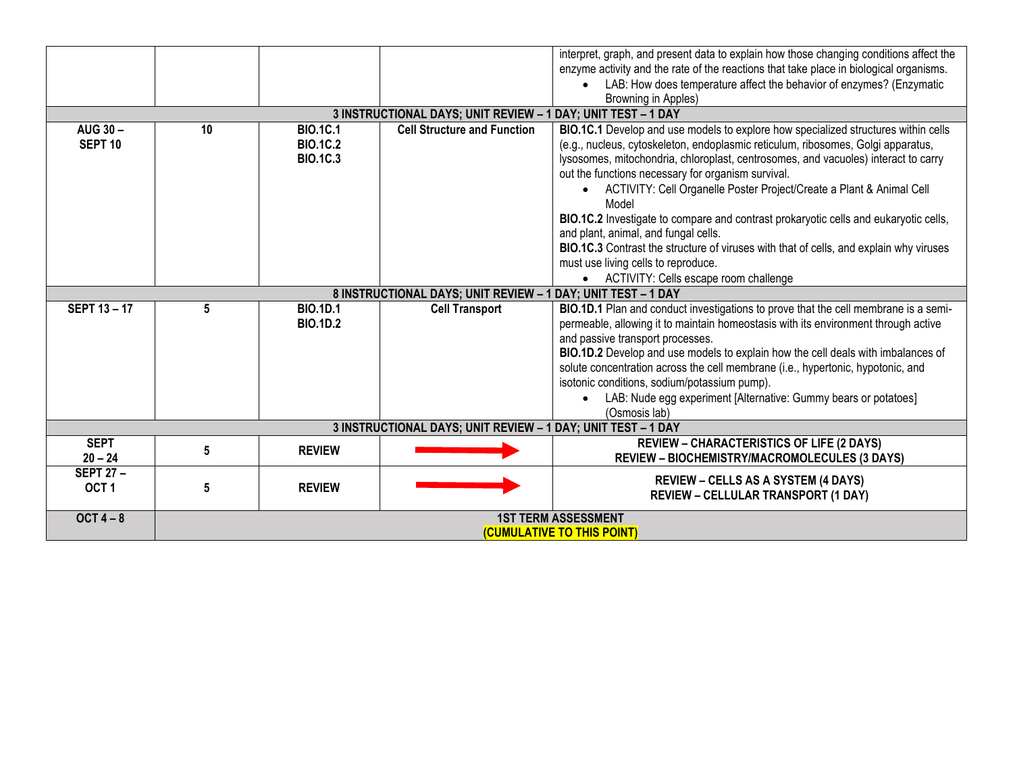|                    |                                          |                 |                                                              | interpret, graph, and present data to explain how those changing conditions affect the |  |
|--------------------|------------------------------------------|-----------------|--------------------------------------------------------------|----------------------------------------------------------------------------------------|--|
|                    |                                          |                 |                                                              | enzyme activity and the rate of the reactions that take place in biological organisms. |  |
|                    |                                          |                 |                                                              | LAB: How does temperature affect the behavior of enzymes? (Enzymatic                   |  |
|                    |                                          |                 |                                                              | Browning in Apples)                                                                    |  |
|                    |                                          |                 | 3 INSTRUCTIONAL DAYS; UNIT REVIEW - 1 DAY; UNIT TEST - 1 DAY |                                                                                        |  |
| AUG 30-            | 10                                       | <b>BIO.1C.1</b> | <b>Cell Structure and Function</b>                           | BIO.1C.1 Develop and use models to explore how specialized structures within cells     |  |
| SEPT <sub>10</sub> |                                          | <b>BIO.1C.2</b> |                                                              | (e.g., nucleus, cytoskeleton, endoplasmic reticulum, ribosomes, Golgi apparatus,       |  |
|                    |                                          | <b>BIO.1C.3</b> |                                                              | lysosomes, mitochondria, chloroplast, centrosomes, and vacuoles) interact to carry     |  |
|                    |                                          |                 |                                                              | out the functions necessary for organism survival.                                     |  |
|                    |                                          |                 |                                                              | • ACTIVITY: Cell Organelle Poster Project/Create a Plant & Animal Cell                 |  |
|                    |                                          |                 |                                                              | Model                                                                                  |  |
|                    |                                          |                 |                                                              | BIO.1C.2 Investigate to compare and contrast prokaryotic cells and eukaryotic cells,   |  |
|                    |                                          |                 |                                                              | and plant, animal, and fungal cells.                                                   |  |
|                    |                                          |                 |                                                              | BIO.1C.3 Contrast the structure of viruses with that of cells, and explain why viruses |  |
|                    |                                          |                 |                                                              | must use living cells to reproduce.                                                    |  |
|                    |                                          |                 |                                                              | • ACTIVITY: Cells escape room challenge                                                |  |
|                    |                                          |                 | 8 INSTRUCTIONAL DAYS; UNIT REVIEW - 1 DAY; UNIT TEST - 1 DAY |                                                                                        |  |
| <b>SEPT 13-17</b>  | 5                                        | <b>BIO.1D.1</b> | <b>Cell Transport</b>                                        | BIO.1D.1 Plan and conduct investigations to prove that the cell membrane is a semi-    |  |
|                    |                                          | <b>BIO.1D.2</b> |                                                              | permeable, allowing it to maintain homeostasis with its environment through active     |  |
|                    |                                          |                 |                                                              | and passive transport processes.                                                       |  |
|                    |                                          |                 |                                                              | BIO.1D.2 Develop and use models to explain how the cell deals with imbalances of       |  |
|                    |                                          |                 |                                                              | solute concentration across the cell membrane (i.e., hypertonic, hypotonic, and        |  |
|                    |                                          |                 |                                                              | isotonic conditions, sodium/potassium pump).                                           |  |
|                    |                                          |                 |                                                              | LAB: Nude egg experiment [Alternative: Gummy bears or potatoes]                        |  |
|                    |                                          |                 |                                                              | (Osmosis lab)                                                                          |  |
|                    |                                          |                 | 3 INSTRUCTIONAL DAYS; UNIT REVIEW - 1 DAY; UNIT TEST - 1 DAY |                                                                                        |  |
| <b>SEPT</b>        | 5                                        | <b>REVIEW</b>   |                                                              | <b>REVIEW - CHARACTERISTICS OF LIFE (2 DAYS)</b>                                       |  |
| $20 - 24$          |                                          |                 |                                                              | <b>REVIEW - BIOCHEMISTRY/MACROMOLECULES (3 DAYS)</b>                                   |  |
| <b>SEPT 27-</b>    |                                          |                 |                                                              | <b>REVIEW – CELLS AS A SYSTEM (4 DAYS)</b>                                             |  |
| OCT <sub>1</sub>   | 5                                        | <b>REVIEW</b>   |                                                              | <b>REVIEW - CELLULAR TRANSPORT (1 DAY)</b>                                             |  |
|                    |                                          |                 |                                                              |                                                                                        |  |
| OCT $4-8$          | <b>1ST TERM ASSESSMENT</b>               |                 |                                                              |                                                                                        |  |
|                    | <i><b>(CUMULATIVE TO THIS POINT)</b></i> |                 |                                                              |                                                                                        |  |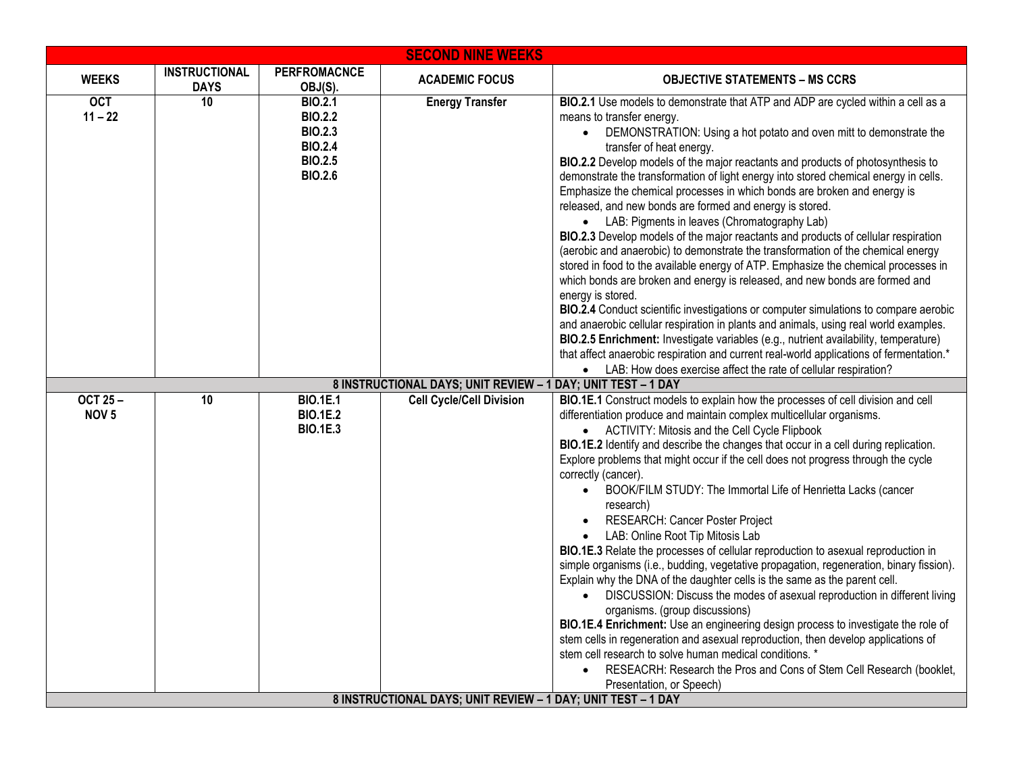| <b>SECOND NINE WEEKS</b>           |                                     |                                                                                                          |                                                                                                 |                                                                                                                                                                                                                                                                                                                                                                                                                                                                                                                                                                                                                                                                                                                                                                                                                                                                                                                                                                                                                                                                                                                                                                                                                                                                                                                                                                                                    |  |  |
|------------------------------------|-------------------------------------|----------------------------------------------------------------------------------------------------------|-------------------------------------------------------------------------------------------------|----------------------------------------------------------------------------------------------------------------------------------------------------------------------------------------------------------------------------------------------------------------------------------------------------------------------------------------------------------------------------------------------------------------------------------------------------------------------------------------------------------------------------------------------------------------------------------------------------------------------------------------------------------------------------------------------------------------------------------------------------------------------------------------------------------------------------------------------------------------------------------------------------------------------------------------------------------------------------------------------------------------------------------------------------------------------------------------------------------------------------------------------------------------------------------------------------------------------------------------------------------------------------------------------------------------------------------------------------------------------------------------------------|--|--|
| <b>WEEKS</b>                       | <b>INSTRUCTIONAL</b><br><b>DAYS</b> | <b>PERFROMACNCE</b><br>OBJ(S).                                                                           | <b>ACADEMIC FOCUS</b>                                                                           | <b>OBJECTIVE STATEMENTS – MS CCRS</b>                                                                                                                                                                                                                                                                                                                                                                                                                                                                                                                                                                                                                                                                                                                                                                                                                                                                                                                                                                                                                                                                                                                                                                                                                                                                                                                                                              |  |  |
| <b>OCT</b><br>$11 - 22$            | $\overline{10}$                     | <b>BIO.2.1</b><br><b>BIO.2.2</b><br><b>BIO.2.3</b><br><b>BIO.2.4</b><br><b>BIO.2.5</b><br><b>BIO.2.6</b> | <b>Energy Transfer</b>                                                                          | BIO.2.1 Use models to demonstrate that ATP and ADP are cycled within a cell as a<br>means to transfer energy.<br>• DEMONSTRATION: Using a hot potato and oven mitt to demonstrate the<br>transfer of heat energy.<br>BIO.2.2 Develop models of the major reactants and products of photosynthesis to<br>demonstrate the transformation of light energy into stored chemical energy in cells.<br>Emphasize the chemical processes in which bonds are broken and energy is<br>released, and new bonds are formed and energy is stored.<br>• LAB: Pigments in leaves (Chromatography Lab)<br>BIO.2.3 Develop models of the major reactants and products of cellular respiration<br>(aerobic and anaerobic) to demonstrate the transformation of the chemical energy<br>stored in food to the available energy of ATP. Emphasize the chemical processes in<br>which bonds are broken and energy is released, and new bonds are formed and<br>energy is stored.<br>BIO.2.4 Conduct scientific investigations or computer simulations to compare aerobic<br>and anaerobic cellular respiration in plants and animals, using real world examples.<br>BIO.2.5 Enrichment: Investigate variables (e.g., nutrient availability, temperature)<br>that affect anaerobic respiration and current real-world applications of fermentation.*<br>• LAB: How does exercise affect the rate of cellular respiration? |  |  |
|                                    |                                     |                                                                                                          | 8 INSTRUCTIONAL DAYS; UNIT REVIEW - 1 DAY; UNIT TEST - 1 DAY                                    |                                                                                                                                                                                                                                                                                                                                                                                                                                                                                                                                                                                                                                                                                                                                                                                                                                                                                                                                                                                                                                                                                                                                                                                                                                                                                                                                                                                                    |  |  |
| <b>OCT 25-</b><br>NOV <sub>5</sub> | 10                                  | <b>BIO.1E.1</b><br><b>BIO.1E.2</b><br><b>BIO.1E.3</b>                                                    | <b>Cell Cycle/Cell Division</b><br>8 INSTRUCTIONAL DAYS; UNIT REVIEW - 1 DAY; UNIT TEST - 1 DAY | BIO.1E.1 Construct models to explain how the processes of cell division and cell<br>differentiation produce and maintain complex multicellular organisms.<br>• ACTIVITY: Mitosis and the Cell Cycle Flipbook<br>BIO.1E.2 Identify and describe the changes that occur in a cell during replication.<br>Explore problems that might occur if the cell does not progress through the cycle<br>correctly (cancer).<br>BOOK/FILM STUDY: The Immortal Life of Henrietta Lacks (cancer<br>research)<br>RESEARCH: Cancer Poster Project<br>LAB: Online Root Tip Mitosis Lab<br>BIO.1E.3 Relate the processes of cellular reproduction to asexual reproduction in<br>simple organisms (i.e., budding, vegetative propagation, regeneration, binary fission).<br>Explain why the DNA of the daughter cells is the same as the parent cell.<br>DISCUSSION: Discuss the modes of asexual reproduction in different living<br>organisms. (group discussions)<br>BIO.1E.4 Enrichment: Use an engineering design process to investigate the role of<br>stem cells in regeneration and asexual reproduction, then develop applications of<br>stem cell research to solve human medical conditions. *<br>RESEACRH: Research the Pros and Cons of Stem Cell Research (booklet,<br>$\bullet$<br>Presentation, or Speech)                                                                                             |  |  |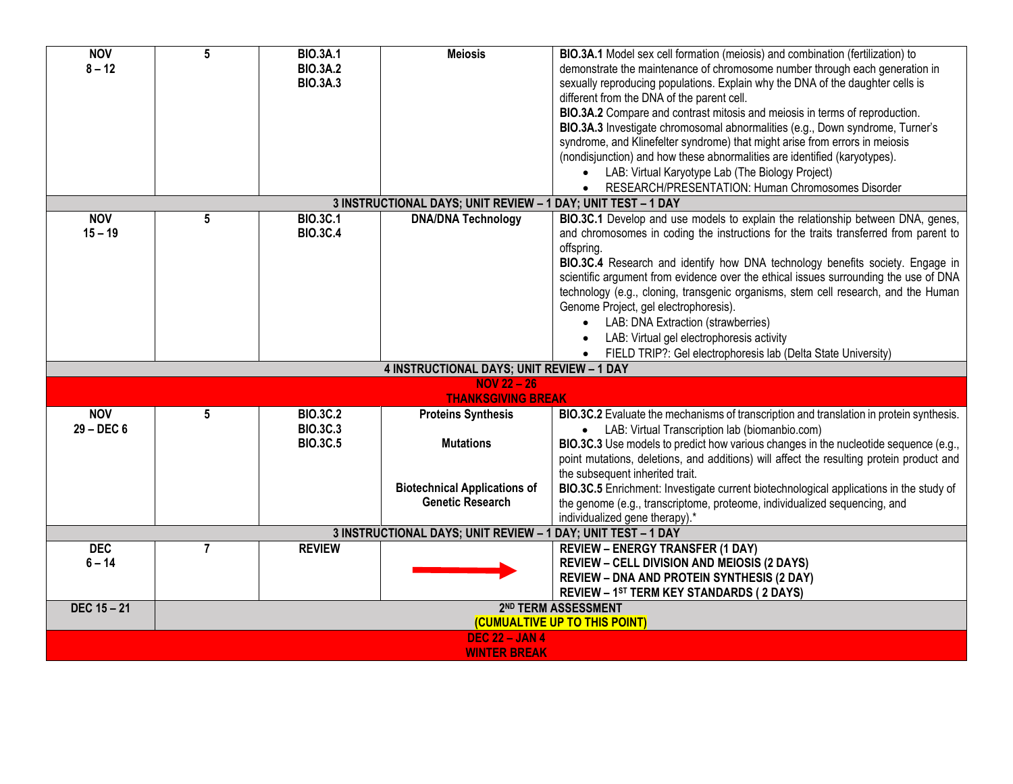| <b>NOV</b>            | $5\phantom{.0}$               | <b>BIO.3A.1</b> | <b>Meiosis</b>                                               | BIO.3A.1 Model sex cell formation (meiosis) and combination (fertilization) to           |  |  |  |
|-----------------------|-------------------------------|-----------------|--------------------------------------------------------------|------------------------------------------------------------------------------------------|--|--|--|
| $8 - 12$              |                               | <b>BIO.3A.2</b> |                                                              | demonstrate the maintenance of chromosome number through each generation in              |  |  |  |
|                       |                               | <b>BIO.3A.3</b> |                                                              | sexually reproducing populations. Explain why the DNA of the daughter cells is           |  |  |  |
|                       |                               |                 |                                                              | different from the DNA of the parent cell.                                               |  |  |  |
|                       |                               |                 |                                                              | BIO.3A.2 Compare and contrast mitosis and meiosis in terms of reproduction.              |  |  |  |
|                       |                               |                 |                                                              | BIO.3A.3 Investigate chromosomal abnormalities (e.g., Down syndrome, Turner's            |  |  |  |
|                       |                               |                 |                                                              | syndrome, and Klinefelter syndrome) that might arise from errors in meiosis              |  |  |  |
|                       |                               |                 |                                                              | (nondisjunction) and how these abnormalities are identified (karyotypes).                |  |  |  |
|                       |                               |                 |                                                              | LAB: Virtual Karyotype Lab (The Biology Project)                                         |  |  |  |
|                       |                               |                 |                                                              | RESEARCH/PRESENTATION: Human Chromosomes Disorder                                        |  |  |  |
|                       |                               |                 | 3 INSTRUCTIONAL DAYS; UNIT REVIEW - 1 DAY; UNIT TEST - 1 DAY |                                                                                          |  |  |  |
| <b>NOV</b>            | 5                             | <b>BIO.3C.1</b> | <b>DNA/DNA Technology</b>                                    | BIO.3C.1 Develop and use models to explain the relationship between DNA, genes,          |  |  |  |
| $15 - 19$             |                               | <b>BIO.3C.4</b> |                                                              | and chromosomes in coding the instructions for the traits transferred from parent to     |  |  |  |
|                       |                               |                 |                                                              | offspring.                                                                               |  |  |  |
|                       |                               |                 |                                                              | BIO.3C.4 Research and identify how DNA technology benefits society. Engage in            |  |  |  |
|                       |                               |                 |                                                              | scientific argument from evidence over the ethical issues surrounding the use of DNA     |  |  |  |
|                       |                               |                 |                                                              | technology (e.g., cloning, transgenic organisms, stem cell research, and the Human       |  |  |  |
|                       |                               |                 |                                                              | Genome Project, gel electrophoresis).                                                    |  |  |  |
|                       |                               |                 |                                                              | LAB: DNA Extraction (strawberries)                                                       |  |  |  |
|                       |                               |                 |                                                              | LAB: Virtual gel electrophoresis activity                                                |  |  |  |
|                       |                               |                 |                                                              | FIELD TRIP?: Gel electrophoresis lab (Delta State University)                            |  |  |  |
|                       |                               |                 | <b>4 INSTRUCTIONAL DAYS; UNIT REVIEW - 1 DAY</b>             |                                                                                          |  |  |  |
|                       |                               |                 | $NOV 22 - 26$                                                |                                                                                          |  |  |  |
|                       |                               |                 | <b>THANKSGIVING BREAK</b>                                    |                                                                                          |  |  |  |
| <b>NOV</b>            | 5                             | <b>BIO.3C.2</b> | <b>Proteins Synthesis</b>                                    | BIO.3C.2 Evaluate the mechanisms of transcription and translation in protein synthesis.  |  |  |  |
| $29 - DEC6$           |                               | <b>BIO.3C.3</b> |                                                              | • LAB: Virtual Transcription lab (biomanbio.com)                                         |  |  |  |
|                       |                               | <b>BIO.3C.5</b> | <b>Mutations</b>                                             | BIO.3C.3 Use models to predict how various changes in the nucleotide sequence (e.g.,     |  |  |  |
|                       |                               |                 |                                                              | point mutations, deletions, and additions) will affect the resulting protein product and |  |  |  |
|                       |                               |                 |                                                              | the subsequent inherited trait.                                                          |  |  |  |
|                       |                               |                 | <b>Biotechnical Applications of</b>                          | BIO.3C.5 Enrichment: Investigate current biotechnological applications in the study of   |  |  |  |
|                       |                               |                 | <b>Genetic Research</b>                                      | the genome (e.g., transcriptome, proteome, individualized sequencing, and                |  |  |  |
|                       |                               |                 |                                                              | individualized gene therapy).*                                                           |  |  |  |
|                       |                               |                 | 3 INSTRUCTIONAL DAYS; UNIT REVIEW - 1 DAY; UNIT TEST - 1 DAY |                                                                                          |  |  |  |
| <b>DEC</b>            | $\overline{7}$                | <b>REVIEW</b>   |                                                              | <b>REVIEW - ENERGY TRANSFER (1 DAY)</b>                                                  |  |  |  |
| $6 - 14$              |                               |                 |                                                              | <b>REVIEW - CELL DIVISION AND MEIOSIS (2 DAYS)</b>                                       |  |  |  |
|                       |                               |                 |                                                              | <b>REVIEW - DNA AND PROTEIN SYNTHESIS (2 DAY)</b>                                        |  |  |  |
|                       |                               |                 |                                                              | REVIEW - 1ST TERM KEY STANDARDS (2 DAYS)                                                 |  |  |  |
| DEC 15 - 21           |                               |                 |                                                              | 2 <sup>ND</sup> TERM ASSESSMENT                                                          |  |  |  |
|                       | (CUMUALTIVE UP TO THIS POINT) |                 |                                                              |                                                                                          |  |  |  |
| <b>DEC 22 - JAN 4</b> |                               |                 |                                                              |                                                                                          |  |  |  |
|                       |                               |                 | <b>WINTER BREAK</b>                                          |                                                                                          |  |  |  |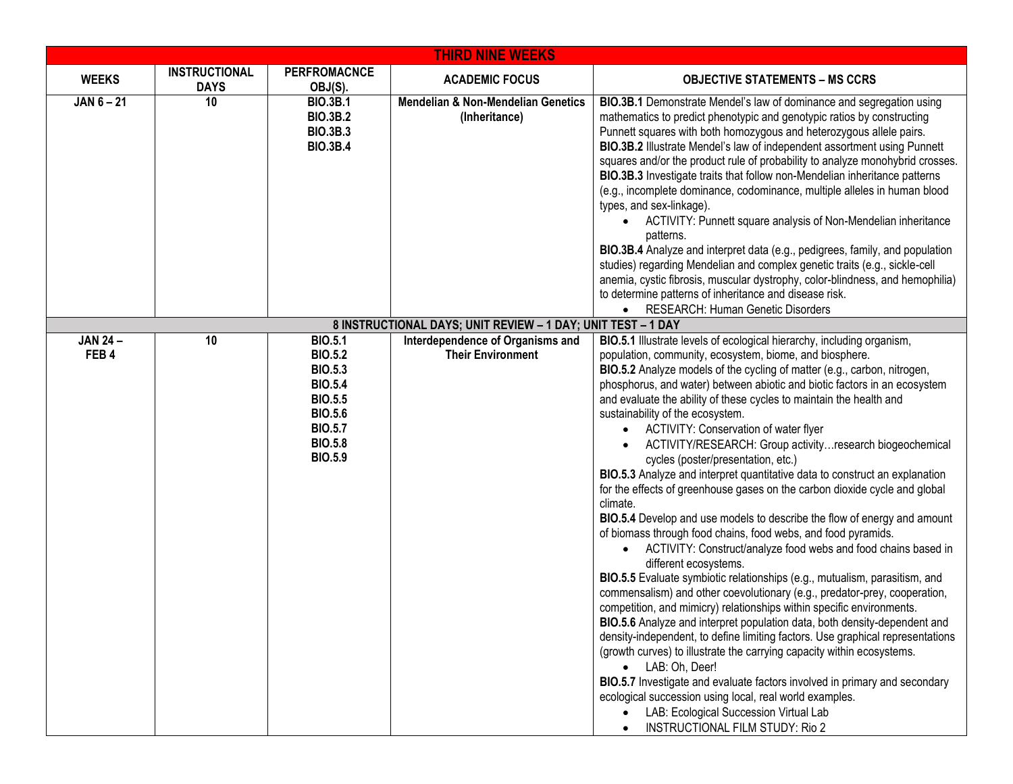| <b>THIRD NINE WEEKS</b> |                                     |                                                                                                                                              |                                                                                                  |                                                                                                                                                                                                                                                                                                                                                                                                                                                                                                                                                                                                                                                                                                                                                                                                                                                                                                                                                                                                                                                                                                                                                                                                                                                                                                                                                                                                                                                                                                                                                                                                                                                                                                              |  |  |  |
|-------------------------|-------------------------------------|----------------------------------------------------------------------------------------------------------------------------------------------|--------------------------------------------------------------------------------------------------|--------------------------------------------------------------------------------------------------------------------------------------------------------------------------------------------------------------------------------------------------------------------------------------------------------------------------------------------------------------------------------------------------------------------------------------------------------------------------------------------------------------------------------------------------------------------------------------------------------------------------------------------------------------------------------------------------------------------------------------------------------------------------------------------------------------------------------------------------------------------------------------------------------------------------------------------------------------------------------------------------------------------------------------------------------------------------------------------------------------------------------------------------------------------------------------------------------------------------------------------------------------------------------------------------------------------------------------------------------------------------------------------------------------------------------------------------------------------------------------------------------------------------------------------------------------------------------------------------------------------------------------------------------------------------------------------------------------|--|--|--|
| <b>WEEKS</b>            | <b>INSTRUCTIONAL</b><br><b>DAYS</b> | <b>PERFROMACNCE</b><br>OBJ(S).                                                                                                               | <b>ACADEMIC FOCUS</b>                                                                            | <b>OBJECTIVE STATEMENTS - MS CCRS</b>                                                                                                                                                                                                                                                                                                                                                                                                                                                                                                                                                                                                                                                                                                                                                                                                                                                                                                                                                                                                                                                                                                                                                                                                                                                                                                                                                                                                                                                                                                                                                                                                                                                                        |  |  |  |
| $JAN 6 - 21$            | 10                                  | <b>BIO.3B.1</b><br><b>BIO.3B.2</b><br><b>BIO.3B.3</b><br><b>BIO.3B.4</b>                                                                     | <b>Mendelian &amp; Non-Mendelian Genetics</b><br>(Inheritance)                                   | BIO.3B.1 Demonstrate Mendel's law of dominance and segregation using<br>mathematics to predict phenotypic and genotypic ratios by constructing<br>Punnett squares with both homozygous and heterozygous allele pairs.<br>BIO.3B.2 Illustrate Mendel's law of independent assortment using Punnett<br>squares and/or the product rule of probability to analyze monohybrid crosses.<br>BIO.3B.3 Investigate traits that follow non-Mendelian inheritance patterns<br>(e.g., incomplete dominance, codominance, multiple alleles in human blood<br>types, and sex-linkage).<br>ACTIVITY: Punnett square analysis of Non-Mendelian inheritance<br>patterns.<br>BIO.3B.4 Analyze and interpret data (e.g., pedigrees, family, and population<br>studies) regarding Mendelian and complex genetic traits (e.g., sickle-cell<br>anemia, cystic fibrosis, muscular dystrophy, color-blindness, and hemophilia)<br>to determine patterns of inheritance and disease risk.                                                                                                                                                                                                                                                                                                                                                                                                                                                                                                                                                                                                                                                                                                                                            |  |  |  |
|                         |                                     |                                                                                                                                              |                                                                                                  | RESEARCH: Human Genetic Disorders<br>$\bullet$                                                                                                                                                                                                                                                                                                                                                                                                                                                                                                                                                                                                                                                                                                                                                                                                                                                                                                                                                                                                                                                                                                                                                                                                                                                                                                                                                                                                                                                                                                                                                                                                                                                               |  |  |  |
| <b>JAN 24-</b>          | 10                                  | <b>BIO.5.1</b>                                                                                                                               | 8 INSTRUCTIONAL DAYS; UNIT REVIEW - 1 DAY; UNIT TEST - 1 DAY<br>Interdependence of Organisms and |                                                                                                                                                                                                                                                                                                                                                                                                                                                                                                                                                                                                                                                                                                                                                                                                                                                                                                                                                                                                                                                                                                                                                                                                                                                                                                                                                                                                                                                                                                                                                                                                                                                                                                              |  |  |  |
| FEB4                    |                                     | <b>BIO.5.2</b><br><b>BIO.5.3</b><br><b>BIO.5.4</b><br><b>BIO.5.5</b><br><b>BIO.5.6</b><br><b>BIO.5.7</b><br><b>BIO.5.8</b><br><b>BIO.5.9</b> | <b>Their Environment</b>                                                                         | BIO.5.1 Illustrate levels of ecological hierarchy, including organism,<br>population, community, ecosystem, biome, and biosphere.<br>BIO.5.2 Analyze models of the cycling of matter (e.g., carbon, nitrogen,<br>phosphorus, and water) between abiotic and biotic factors in an ecosystem<br>and evaluate the ability of these cycles to maintain the health and<br>sustainability of the ecosystem.<br>ACTIVITY: Conservation of water flyer<br>ACTIVITY/RESEARCH: Group activityresearch biogeochemical<br>cycles (poster/presentation, etc.)<br>BIO.5.3 Analyze and interpret quantitative data to construct an explanation<br>for the effects of greenhouse gases on the carbon dioxide cycle and global<br>climate.<br>BIO.5.4 Develop and use models to describe the flow of energy and amount<br>of biomass through food chains, food webs, and food pyramids.<br>ACTIVITY: Construct/analyze food webs and food chains based in<br>$\bullet$<br>different ecosystems.<br>BIO.5.5 Evaluate symbiotic relationships (e.g., mutualism, parasitism, and<br>commensalism) and other coevolutionary (e.g., predator-prey, cooperation,<br>competition, and mimicry) relationships within specific environments.<br>BIO.5.6 Analyze and interpret population data, both density-dependent and<br>density-independent, to define limiting factors. Use graphical representations<br>(growth curves) to illustrate the carrying capacity within ecosystems.<br>• LAB: Oh, Deer!<br>BIO.5.7 Investigate and evaluate factors involved in primary and secondary<br>ecological succession using local, real world examples.<br>LAB: Ecological Succession Virtual Lab<br><b>INSTRUCTIONAL FILM STUDY: Rio 2</b> |  |  |  |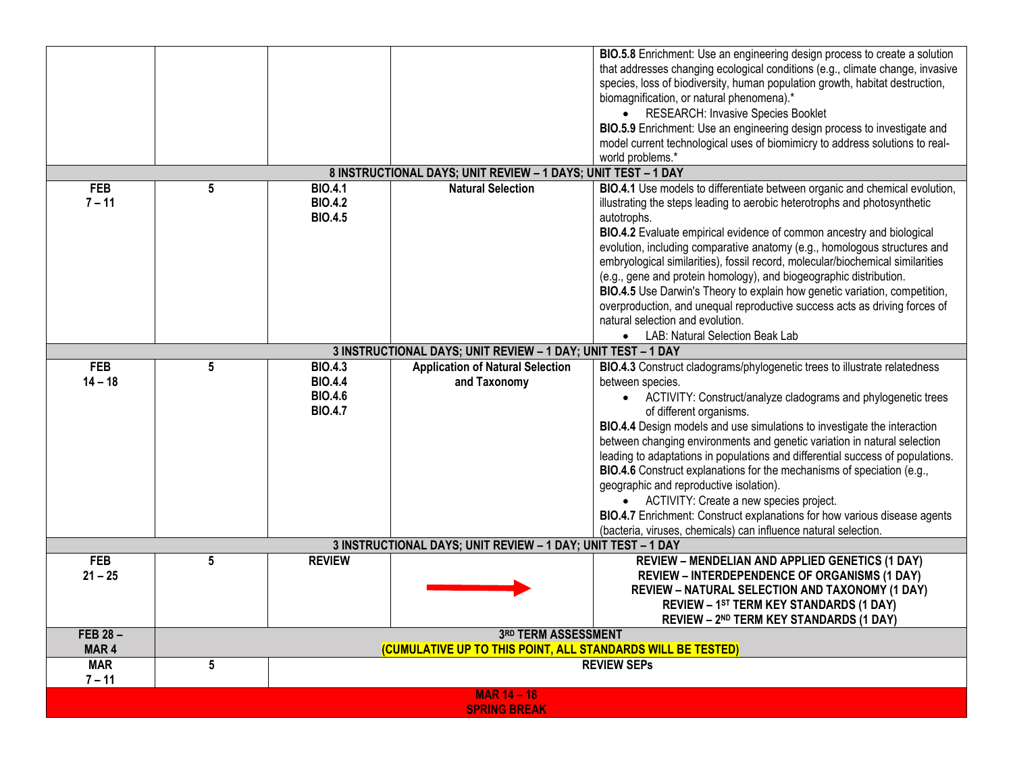|                  |                                                              |                |                                                               | BIO.5.8 Enrichment: Use an engineering design process to create a solution     |  |  |  |  |
|------------------|--------------------------------------------------------------|----------------|---------------------------------------------------------------|--------------------------------------------------------------------------------|--|--|--|--|
|                  |                                                              |                |                                                               | that addresses changing ecological conditions (e.g., climate change, invasive  |  |  |  |  |
|                  |                                                              |                |                                                               | species, loss of biodiversity, human population growth, habitat destruction,   |  |  |  |  |
|                  |                                                              |                |                                                               | biomagnification, or natural phenomena).*                                      |  |  |  |  |
|                  |                                                              |                |                                                               | • RESEARCH: Invasive Species Booklet                                           |  |  |  |  |
|                  |                                                              |                |                                                               | BIO.5.9 Enrichment: Use an engineering design process to investigate and       |  |  |  |  |
|                  |                                                              |                |                                                               | model current technological uses of biomimicry to address solutions to real-   |  |  |  |  |
|                  |                                                              |                |                                                               |                                                                                |  |  |  |  |
|                  |                                                              |                | 8 INSTRUCTIONAL DAYS; UNIT REVIEW - 1 DAYS; UNIT TEST - 1 DAY | world problems.*                                                               |  |  |  |  |
|                  |                                                              |                |                                                               |                                                                                |  |  |  |  |
| <b>FEB</b>       | 5                                                            | <b>BIO.4.1</b> | <b>Natural Selection</b>                                      | BIO.4.1 Use models to differentiate between organic and chemical evolution,    |  |  |  |  |
| $7 - 11$         |                                                              | <b>BIO.4.2</b> |                                                               | illustrating the steps leading to aerobic heterotrophs and photosynthetic      |  |  |  |  |
|                  |                                                              | <b>BIO.4.5</b> |                                                               | autotrophs.                                                                    |  |  |  |  |
|                  |                                                              |                |                                                               | BIO.4.2 Evaluate empirical evidence of common ancestry and biological          |  |  |  |  |
|                  |                                                              |                |                                                               | evolution, including comparative anatomy (e.g., homologous structures and      |  |  |  |  |
|                  |                                                              |                |                                                               | embryological similarities), fossil record, molecular/biochemical similarities |  |  |  |  |
|                  |                                                              |                |                                                               | (e.g., gene and protein homology), and biogeographic distribution.             |  |  |  |  |
|                  |                                                              |                |                                                               | BIO.4.5 Use Darwin's Theory to explain how genetic variation, competition,     |  |  |  |  |
|                  |                                                              |                |                                                               | overproduction, and unequal reproductive success acts as driving forces of     |  |  |  |  |
|                  |                                                              |                |                                                               | natural selection and evolution.                                               |  |  |  |  |
|                  |                                                              |                |                                                               | • LAB: Natural Selection Beak Lab                                              |  |  |  |  |
|                  | 3 INSTRUCTIONAL DAYS; UNIT REVIEW - 1 DAY; UNIT TEST - 1 DAY |                |                                                               |                                                                                |  |  |  |  |
| <b>FEB</b>       | 5                                                            | <b>BIO.4.3</b> | <b>Application of Natural Selection</b>                       | BIO.4.3 Construct cladograms/phylogenetic trees to illustrate relatedness      |  |  |  |  |
| $14 - 18$        |                                                              | <b>BIO.4.4</b> | and Taxonomy                                                  | between species.                                                               |  |  |  |  |
|                  |                                                              | <b>BIO.4.6</b> |                                                               | • ACTIVITY: Construct/analyze cladograms and phylogenetic trees                |  |  |  |  |
|                  |                                                              | <b>BIO.4.7</b> |                                                               | of different organisms.                                                        |  |  |  |  |
|                  |                                                              |                |                                                               | BIO.4.4 Design models and use simulations to investigate the interaction       |  |  |  |  |
|                  |                                                              |                |                                                               | between changing environments and genetic variation in natural selection       |  |  |  |  |
|                  |                                                              |                |                                                               | leading to adaptations in populations and differential success of populations. |  |  |  |  |
|                  |                                                              |                |                                                               |                                                                                |  |  |  |  |
|                  |                                                              |                |                                                               | BIO.4.6 Construct explanations for the mechanisms of speciation (e.g.,         |  |  |  |  |
|                  |                                                              |                |                                                               | geographic and reproductive isolation).                                        |  |  |  |  |
|                  |                                                              |                |                                                               | • ACTIVITY: Create a new species project.                                      |  |  |  |  |
|                  |                                                              |                |                                                               | BIO.4.7 Enrichment: Construct explanations for how various disease agents      |  |  |  |  |
|                  |                                                              |                |                                                               | (bacteria, viruses, chemicals) can influence natural selection.                |  |  |  |  |
|                  |                                                              |                | 3 INSTRUCTIONAL DAYS; UNIT REVIEW - 1 DAY; UNIT TEST - 1 DAY  |                                                                                |  |  |  |  |
| <b>FEB</b>       | 5                                                            | <b>REVIEW</b>  |                                                               | <b>REVIEW - MENDELIAN AND APPLIED GENETICS (1 DAY)</b>                         |  |  |  |  |
| $21 - 25$        |                                                              |                |                                                               | <b>REVIEW - INTERDEPENDENCE OF ORGANISMS (1 DAY)</b>                           |  |  |  |  |
|                  |                                                              |                |                                                               | REVIEW - NATURAL SELECTION AND TAXONOMY (1 DAY)                                |  |  |  |  |
|                  |                                                              |                |                                                               | REVIEW - 1ST TERM KEY STANDARDS (1 DAY)                                        |  |  |  |  |
|                  |                                                              |                |                                                               | REVIEW - 2ND TERM KEY STANDARDS (1 DAY)                                        |  |  |  |  |
| FEB 28-          |                                                              |                | 3RD TERM ASSESSMENT                                           |                                                                                |  |  |  |  |
| MAR <sub>4</sub> |                                                              |                | (CUMULATIVE UP TO THIS POINT, ALL STANDARDS WILL BE TESTED)   |                                                                                |  |  |  |  |
| <b>MAR</b>       | 5                                                            |                |                                                               | <b>REVIEW SEPs</b>                                                             |  |  |  |  |
| $7 - 11$         |                                                              |                |                                                               |                                                                                |  |  |  |  |
|                  |                                                              |                | <b>MAR 14 - 18</b>                                            |                                                                                |  |  |  |  |
|                  |                                                              |                | <b>SPRING BREAK</b>                                           |                                                                                |  |  |  |  |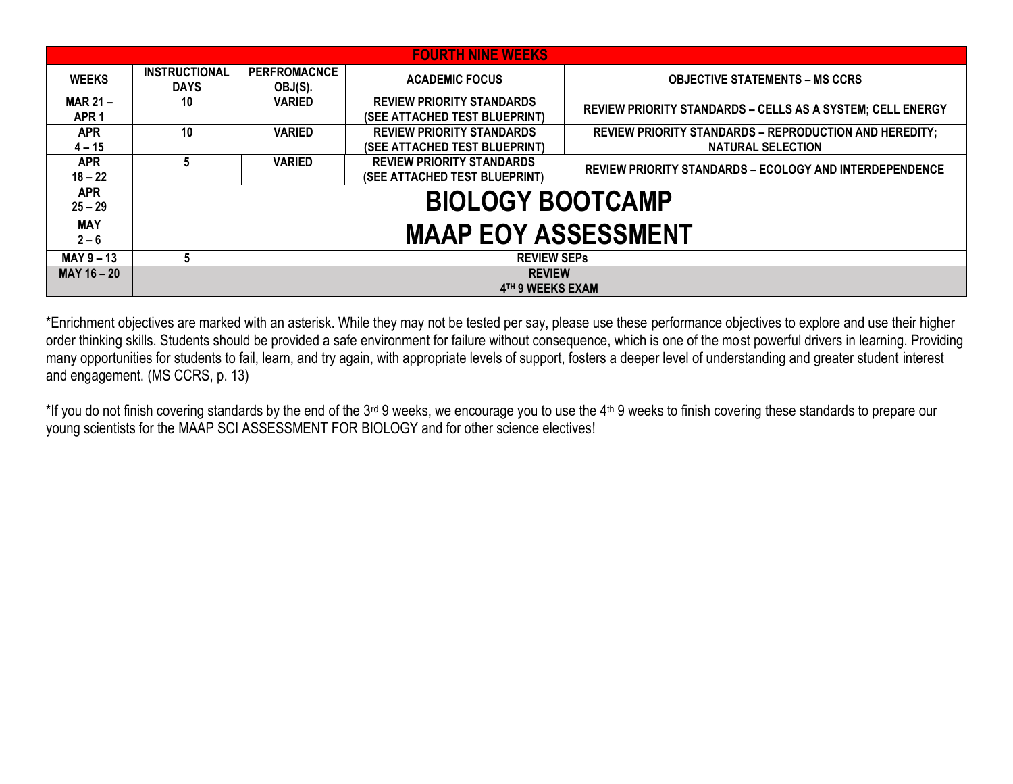| <b>FOURTH NINE WEEKS</b>           |                                     |                                |                                                                   |                                                                                           |  |  |  |  |
|------------------------------------|-------------------------------------|--------------------------------|-------------------------------------------------------------------|-------------------------------------------------------------------------------------------|--|--|--|--|
| <b>WEEKS</b>                       | <b>INSTRUCTIONAL</b><br><b>DAYS</b> | <b>PERFROMACNCE</b><br>OBJ(S). | <b>ACADEMIC FOCUS</b>                                             | <b>OBJECTIVE STATEMENTS – MS CCRS</b>                                                     |  |  |  |  |
| <b>MAR 21-</b><br>APR <sub>1</sub> | 10                                  | <b>VARIED</b>                  | <b>REVIEW PRIORITY STANDARDS</b><br>(SEE ATTACHED TEST BLUEPRINT) | <b>REVIEW PRIORITY STANDARDS - CELLS AS A SYSTEM; CELL ENERGY</b>                         |  |  |  |  |
| <b>APR</b><br>$4 - 15$             | 10                                  | <b>VARIED</b>                  | <b>REVIEW PRIORITY STANDARDS</b><br>(SEE ATTACHED TEST BLUEPRINT) | <b>REVIEW PRIORITY STANDARDS - REPRODUCTION AND HEREDITY;</b><br><b>NATURAL SELECTION</b> |  |  |  |  |
| <b>APR</b><br>$18 - 22$            | 5                                   | <b>VARIED</b>                  | <b>REVIEW PRIORITY STANDARDS</b><br>(SEE ATTACHED TEST BLUEPRINT) | <b>REVIEW PRIORITY STANDARDS - ECOLOGY AND INTERDEPENDENCE</b>                            |  |  |  |  |
| <b>APR</b><br>$25 - 29$            | <b>BIOLOGY BOOTCAMP</b>             |                                |                                                                   |                                                                                           |  |  |  |  |
| <b>MAY</b><br>$2 - 6$              | <b>MAAP EOY ASSESSMENT</b>          |                                |                                                                   |                                                                                           |  |  |  |  |
| $MAY$ 9 – 13                       | <b>REVIEW SEPS</b><br>5             |                                |                                                                   |                                                                                           |  |  |  |  |
| MAY 16 - 20                        | <b>REVIEW</b><br>4TH 9 WEEKS EXAM   |                                |                                                                   |                                                                                           |  |  |  |  |

\*Enrichment objectives are marked with an asterisk. While they may not be tested per say, please use these performance objectives to explore and use their higher order thinking skills. Students should be provided a safe environment for failure without consequence, which is one of the most powerful drivers in learning. Providing many opportunities for students to fail, learn, and try again, with appropriate levels of support, fosters a deeper level of understanding and greater student interest and engagement. (MS CCRS, p. 13)

\*If you do not finish covering standards by the end of the 3<sup>rd</sup> 9 weeks, we encourage you to use the 4<sup>th</sup> 9 weeks to finish covering these standards to prepare our young scientists for the MAAP SCI ASSESSMENT FOR BIOLOGY and for other science electives!